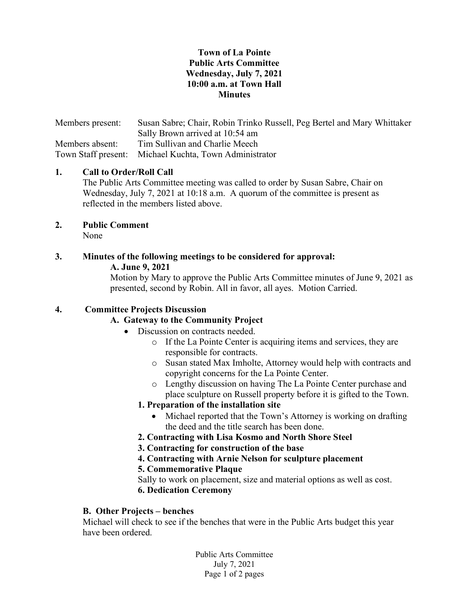# Town of La Pointe Public Arts Committee Wednesday, July 7, 2021 10:00 a.m. at Town Hall Minutes

Members present: Susan Sabre; Chair, Robin Trinko Russell, Peg Bertel and Mary Whittaker Sally Brown arrived at 10:54 am Members absent: Tim Sullivan and Charlie Meech Town Staff present: Michael Kuchta, Town Administrator

# 1. Call to Order/Roll Call

The Public Arts Committee meeting was called to order by Susan Sabre, Chair on Wednesday, July 7, 2021 at 10:18 a.m. A quorum of the committee is present as reflected in the members listed above.

#### 2. Public Comment None

#### 3. Minutes of the following meetings to be considered for approval: A. June 9, 2021

Motion by Mary to approve the Public Arts Committee minutes of June 9, 2021 as presented, second by Robin. All in favor, all ayes. Motion Carried.

# 4. Committee Projects Discussion

## A. Gateway to the Community Project

- Discussion on contracts needed.
	- o If the La Pointe Center is acquiring items and services, they are responsible for contracts.
	- o Susan stated Max Imholte, Attorney would help with contracts and copyright concerns for the La Pointe Center.
	- o Lengthy discussion on having The La Pointe Center purchase and place sculpture on Russell property before it is gifted to the Town.

## 1. Preparation of the installation site

- Michael reported that the Town's Attorney is working on drafting the deed and the title search has been done.
- 2. Contracting with Lisa Kosmo and North Shore Steel
- 3. Contracting for construction of the base
- 4. Contracting with Arnie Nelson for sculpture placement

## 5. Commemorative Plaque

 Sally to work on placement, size and material options as well as cost. 6. Dedication Ceremony

## B. Other Projects – benches

Michael will check to see if the benches that were in the Public Arts budget this year have been ordered.

> Public Arts Committee July 7, 2021 Page 1 of 2 pages